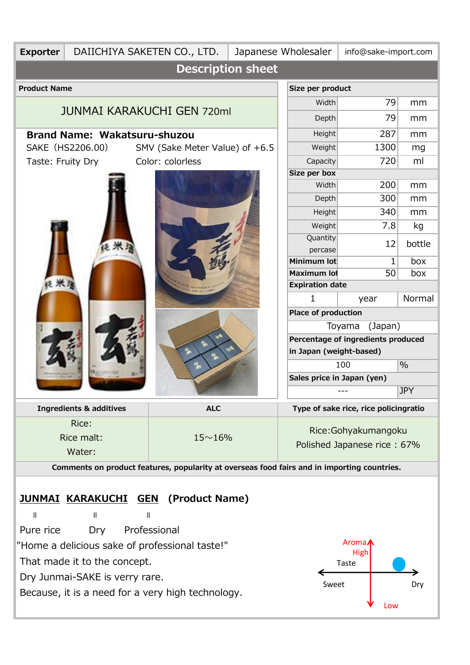| <b>Exporter</b>                                                                             | DAIICHIYA SAKETEN CO., LTD.                       |                                          |       | Japanese Wholesaler<br>info@sake-import.com |      |        |  |  |  |  |  |
|---------------------------------------------------------------------------------------------|---------------------------------------------------|------------------------------------------|-------|---------------------------------------------|------|--------|--|--|--|--|--|
| <b>Description sheet</b>                                                                    |                                                   |                                          |       |                                             |      |        |  |  |  |  |  |
| <b>Product Name</b>                                                                         |                                                   | Size per product                         |       |                                             |      |        |  |  |  |  |  |
|                                                                                             |                                                   |                                          |       | Width                                       | 79   | mm     |  |  |  |  |  |
|                                                                                             | <b>JUNMAI KARAKUCHI GEN 720ml</b>                 | Depth                                    | 79    | mm                                          |      |        |  |  |  |  |  |
| <b>Brand Name: Wakatsuru-shuzou</b>                                                         |                                                   |                                          |       | <b>Height</b>                               | 287  | mm     |  |  |  |  |  |
| SAKE (HS2206.00)<br>SMV (Sake Meter Value) of +6.5                                          |                                                   |                                          |       | Weight                                      | 1300 | mg     |  |  |  |  |  |
| Color: colorless<br>Taste: Fruity Dry                                                       |                                                   |                                          |       | Capacity                                    | 720  | ml     |  |  |  |  |  |
|                                                                                             |                                                   | Size per box                             |       |                                             |      |        |  |  |  |  |  |
|                                                                                             |                                                   | Width                                    | 200   | mm                                          |      |        |  |  |  |  |  |
|                                                                                             |                                                   | Depth                                    | 300   | mm                                          |      |        |  |  |  |  |  |
|                                                                                             |                                                   | <b>Height</b>                            | 340   | mm                                          |      |        |  |  |  |  |  |
|                                                                                             |                                                   |                                          |       | Weight                                      | 7.8  | kg     |  |  |  |  |  |
|                                                                                             |                                                   |                                          |       | Quantity                                    | 12   | bottle |  |  |  |  |  |
|                                                                                             |                                                   |                                          |       | percase<br>Minimum lot                      | 1    | box    |  |  |  |  |  |
|                                                                                             |                                                   |                                          |       | Maximum lot                                 | 50   | box    |  |  |  |  |  |
|                                                                                             |                                                   |                                          |       | <b>Expiration date</b>                      |      |        |  |  |  |  |  |
|                                                                                             |                                                   |                                          |       | 1                                           | year | Normal |  |  |  |  |  |
|                                                                                             |                                                   |                                          |       | <b>Place of production</b>                  |      |        |  |  |  |  |  |
|                                                                                             |                                                   | Toyama<br>(Japan)                        |       |                                             |      |        |  |  |  |  |  |
|                                                                                             |                                                   | Percentage of ingredients produced       |       |                                             |      |        |  |  |  |  |  |
|                                                                                             |                                                   | 爱                                        | برقيم | in Japan (weight-based)                     |      |        |  |  |  |  |  |
|                                                                                             |                                                   | 龙                                        |       | $\%$<br>100                                 |      |        |  |  |  |  |  |
|                                                                                             |                                                   | Sales price in Japan (yen)<br><b>JPY</b> |       |                                             |      |        |  |  |  |  |  |
|                                                                                             |                                                   |                                          |       |                                             |      |        |  |  |  |  |  |
|                                                                                             | <b>Ingredients &amp; additives</b>                | <b>ALC</b>                               |       | Type of sake rice, rice policingratio       |      |        |  |  |  |  |  |
| Rice:                                                                                       |                                                   |                                          |       | Rice: Gohyakumangoku                        |      |        |  |  |  |  |  |
|                                                                                             | Rice malt:                                        | $15 - 16%$                               |       | Polished Japanese rice: 67%                 |      |        |  |  |  |  |  |
|                                                                                             | Water:                                            |                                          |       |                                             |      |        |  |  |  |  |  |
| Comments on product features, popularity at overseas food fairs and in importing countries. |                                                   |                                          |       |                                             |      |        |  |  |  |  |  |
|                                                                                             |                                                   |                                          |       |                                             |      |        |  |  |  |  |  |
|                                                                                             | <b>JUNMAI KARAKUCHI GEN (Product Name)</b>        |                                          |       |                                             |      |        |  |  |  |  |  |
| $\mathbf{I}$                                                                                | $\begin{array}{c} \hline \end{array}$<br>Ш        |                                          |       |                                             |      |        |  |  |  |  |  |
| Pure rice                                                                                   | Dry Professional                                  |                                          |       |                                             |      |        |  |  |  |  |  |
|                                                                                             | "Home a delicious sake of professional taste!"    | Aroma <b>/</b>                           |       |                                             |      |        |  |  |  |  |  |
|                                                                                             | That made it to the concept.                      |                                          | High  |                                             |      |        |  |  |  |  |  |
|                                                                                             | Dry Junmai-SAKE is verry rare.                    |                                          | Taste |                                             |      |        |  |  |  |  |  |
|                                                                                             |                                                   |                                          | Sweet | Dry                                         |      |        |  |  |  |  |  |
|                                                                                             | Because, it is a need for a very high technology. |                                          | Low   |                                             |      |        |  |  |  |  |  |
|                                                                                             |                                                   |                                          |       |                                             |      |        |  |  |  |  |  |